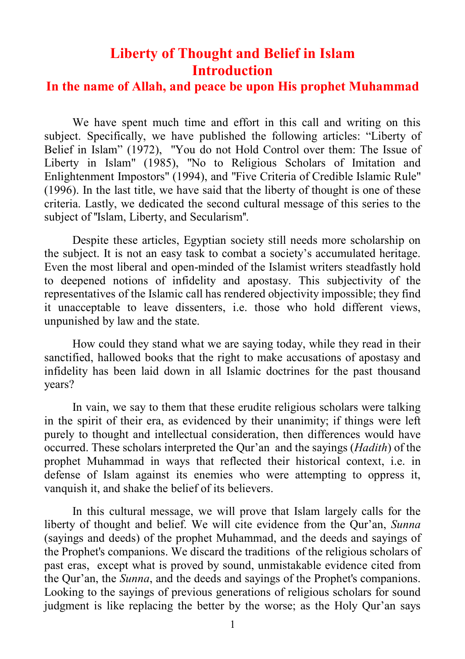# **Liberty of Thought and Belief in Islam Introduction**

### **In the name of Allah, and peace be upon His prophet Muhammad**

We have spent much time and effort in this call and writing on this subject. Specifically, we have published the following articles: "Liberty of Belief in Islam" (1972), "You do not Hold Control over them: The Issue of Liberty in Islam" (1985), "No to Religious Scholars of Imitation and Enlightenment Impostors" (1994), and "Five Criteria of Credible Islamic Rule" (1996). In the last title, we have said that the liberty of thought is one of these criteria. Lastly, we dedicated the second cultural message of this series to the subject of ''Islam, Liberty, and Secularism''.

Despite these articles, Egyptian society still needs more scholarship on the subject. It is not an easy task to combat a society's accumulated heritage. Even the most liberal and open-minded of the Islamist writers steadfastly hold to deepened notions of infidelity and apostasy. This subjectivity of the representatives of the Islamic call has rendered objectivity impossible; they find it unacceptable to leave dissenters, i.e. those who hold different views, unpunished by law and the state.

How could they stand what we are saying today, while they read in their sanctified, hallowed books that the right to make accusations of apostasy and infidelity has been laid down in all Islamic doctrines for the past thousand years?

In vain, we say to them that these erudite religious scholars were talking in the spirit of their era, as evidenced by their unanimity; if things were left purely to thought and intellectual consideration, then differences would have occurred. These scholars interpreted the Qur'an and the sayings (*Hadith*) of the prophet Muhammad in ways that reflected their historical context, i.e. in defense of Islam against its enemies who were attempting to oppress it, vanquish it, and shake the belief of its believers.

In this cultural message, we will prove that Islam largely calls for the liberty of thought and belief. We will cite evidence from the Qur'an, *Sunna* (sayings and deeds) of the prophet Muhammad, and the deeds and sayings of the Prophet's companions. We discard the traditions of the religious scholars of past eras, except what is proved by sound, unmistakable evidence cited from the Qur'an, the *Sunna*, and the deeds and sayings of the Prophet's companions. Looking to the sayings of previous generations of religious scholars for sound judgment is like replacing the better by the worse; as the Holy Qur'an says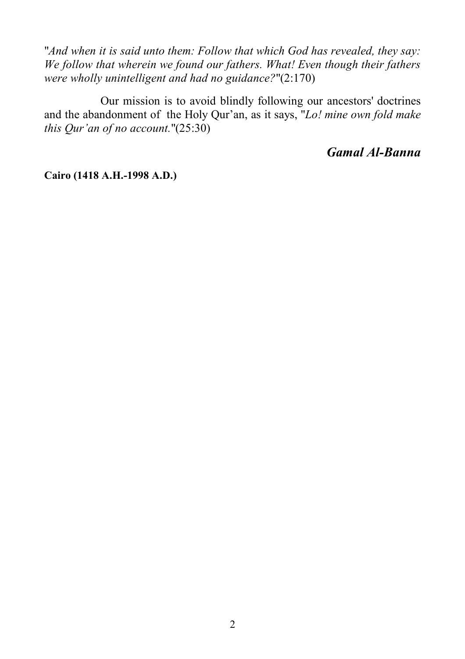"*And when it is said unto them: Follow that which God has revealed, they say: We follow that wherein we found our fathers. What! Even though their fathers were wholly unintelligent and had no guidance?*"(2:170)

 Our mission is to avoid blindly following our ancestors' doctrines and the abandonment of the Holy Qur'an, as it says, "*Lo! mine own fold make this Qur'an of no account.*"(25:30)

# *Gamal Al-Banna*

**Cairo (1418 A.H.-1998 A.D.)**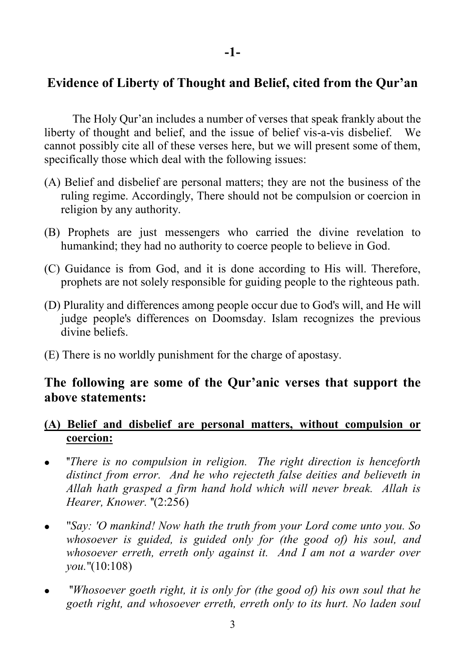# **Evidence of Liberty of Thought and Belief, cited from the Qur'an**

The Holy Qur'an includes a number of verses that speak frankly about the liberty of thought and belief, and the issue of belief vis-a-vis disbelief. We cannot possibly cite all of these verses here, but we will present some of them, specifically those which deal with the following issues:

- (A) Belief and disbelief are personal matters; they are not the business of the ruling regime. Accordingly, There should not be compulsion or coercion in religion by any authority.
- (B) Prophets are just messengers who carried the divine revelation to humankind; they had no authority to coerce people to believe in God.
- (C) Guidance is from God, and it is done according to His will. Therefore, prophets are not solely responsible for guiding people to the righteous path.
- (D) Plurality and differences among people occur due to God's will, and He will judge people's differences on Doomsday. Islam recognizes the previous divine beliefs.
- (E) There is no worldly punishment for the charge of apostasy.

# **The following are some of the Qur'anic verses that support the above statements:**

# **(A) Belief and disbelief are personal matters, without compulsion or coercion:**

- ''*There is no compulsion in religion. The right direction is henceforth distinct from error. And he who rejecteth false deities and believeth in Allah hath grasped a firm hand hold which will never break. Allah is Hearer, Knower.* "(2:256)
- "*Say: 'O mankind! Now hath the truth from your Lord come unto you. So whosoever is guided, is guided only for (the good of) his soul, and whosoever erreth, erreth only against it. And I am not a warder over you.*"(10:108)
- ''*Whosoever goeth right, it is only for (the good of) his own soul that he goeth right, and whosoever erreth, erreth only to its hurt. No laden soul*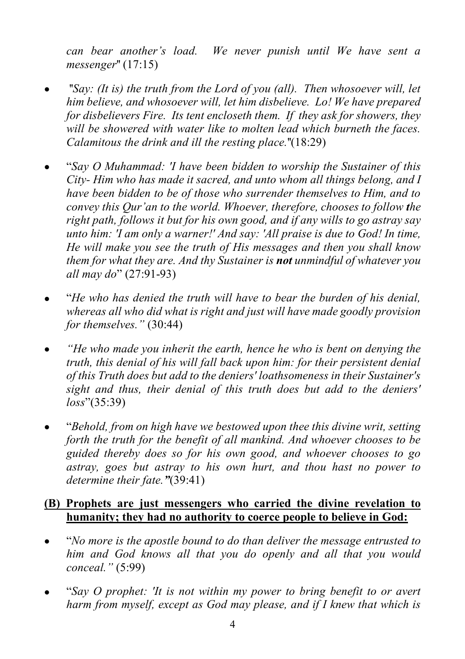*can bear another's load. We never punish until We have sent a messenger*'' (17:15)

- ''*Say: (It is) the truth from the Lord of you (all). Then whosoever will, let him believe, and whosoever will, let him disbelieve. Lo! We have prepared for disbelievers Fire. Its tent encloseth them. If they ask for showers, they will be showered with water like to molten lead which burneth the faces. Calamitous the drink and ill the resting place.*''(18:29)
- "*Say O Muhammad: 'I have been bidden to worship the Sustainer of this City- Him who has made it sacred, and unto whom all things belong, and I have been bidden to be of those who surrender themselves to Him, and to convey this Qur'an to the world. Whoever, therefore, chooses to follow the right path, follows it but for his own good, and if any wills to go astray say unto him: 'I am only a warner!' And say: 'All praise is due to God! In time, He will make you see the truth of His messages and then you shall know them for what they are. And thy Sustainer is not unmindful of whatever you all may do*" (27:91-93)
- "*He who has denied the truth will have to bear the burden of his denial, whereas all who did what is right and just will have made goodly provision for themselves."* (30:44)
- *"He who made you inherit the earth, hence he who is bent on denying the truth, this denial of his will fall back upon him: for their persistent denial of this Truth does but add to the deniers' loathsomeness in their Sustainer's sight and thus, their denial of this truth does but add to the deniers' loss*"(35:39)
- "*Behold, from on high have we bestowed upon thee this divine writ, setting forth the truth for the benefit of all mankind. And whoever chooses to be guided thereby does so for his own good, and whoever chooses to go astray, goes but astray to his own hurt, and thou hast no power to determine their fate."*(39:41)

# **(B) Prophets are just messengers who carried the divine revelation to humanity; they had no authority to coerce people to believe in God:**

- "*No more is the apostle bound to do than deliver the message entrusted to him and God knows all that you do openly and all that you would conceal."* (5:99)
- "*Say O prophet: 'It is not within my power to bring benefit to or avert harm from myself, except as God may please, and if I knew that which is*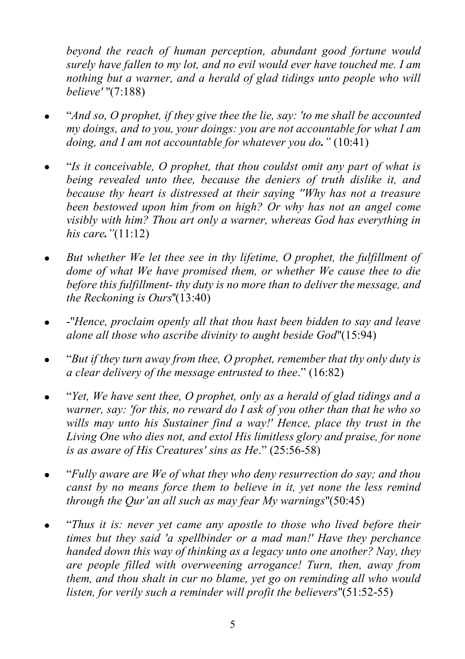*beyond the reach of human perception, abundant good fortune would surely have fallen to my lot, and no evil would ever have touched me. I am nothing but a warner, and a herald of glad tidings unto people who will believe'* "(7:188)

- "*And so, O prophet, if they give thee the lie, say: 'to me shall be accounted my doings, and to you, your doings: you are not accountable for what I am doing, and I am not accountable for whatever you do."* (10:41)
- "*Is it conceivable, O prophet, that thou couldst omit any part of what is being revealed unto thee, because the deniers of truth dislike it, and because thy heart is distressed at their saying ''Why has not a treasure been bestowed upon him from on high? Or why has not an angel come visibly with him? Thou art only a warner, whereas God has everything in his care."*(11:12)
- *But whether We let thee see in thy lifetime, O prophet, the fulfillment of dome of what We have promised them, or whether We cause thee to die before this fulfillment- thy duty is no more than to deliver the message, and the Reckoning is Ours*''(13:40)
- -"*Hence, proclaim openly all that thou hast been bidden to say and leave alone all those who ascribe divinity to aught beside God*"(15:94)
- "*But if they turn away from thee, O prophet, remember that thy only duty is a clear delivery of the message entrusted to thee*." (16:82)
- "*Yet, We have sent thee, O prophet, only as a herald of glad tidings and a warner, say: 'for this, no reward do I ask of you other than that he who so wills may unto his Sustainer find a way!' Hence, place thy trust in the Living One who dies not, and extol His limitless glory and praise, for none is as aware of His Creatures' sins as He*." (25:56-58)
- "*Fully aware are We of what they who deny resurrection do say; and thou canst by no means force them to believe in it, yet none the less remind through the Qur'an all such as may fear My warnings*"(50:45)
- "*Thus it is: never yet came any apostle to those who lived before their times but they said 'a spellbinder or a mad man!' Have they perchance handed down this way of thinking as a legacy unto one another? Nay, they are people filled with overweening arrogance! Turn, then, away from them, and thou shalt in cur no blame, yet go on reminding all who would listen, for verily such a reminder will profit the believers*"(51:52-55)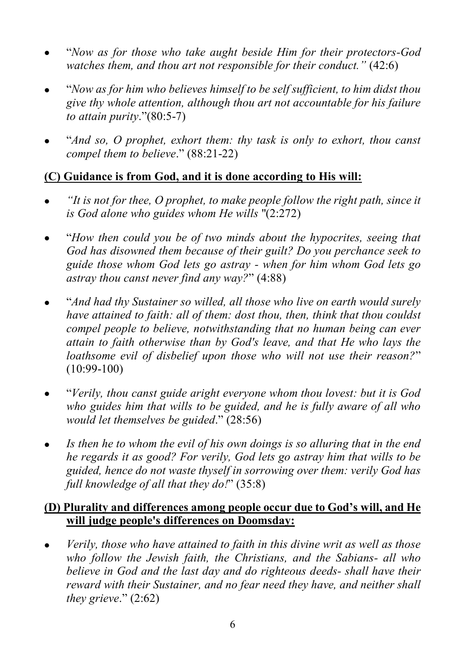- "*Now as for those who take aught beside Him for their protectors-God watches them, and thou art not responsible for their conduct."* (42:6)
- "*Now as for him who believes himself to be self sufficient, to him didst thou give thy whole attention, although thou art not accountable for his failure to attain purity*."(80:5-7)
- "*And so, O prophet, exhort them: thy task is only to exhort, thou canst compel them to believe*." (88:21-22)

# **(C) Guidance is from God, and it is done according to His will:**

- *"It is not for thee, O prophet, to make people follow the right path, since it is God alone who guides whom He wills* "(2:272)
- "*How then could you be of two minds about the hypocrites, seeing that God has disowned them because of their guilt? Do you perchance seek to guide those whom God lets go astray - when for him whom God lets go astray thou canst never find any way?*" (4:88)
- "*And had thy Sustainer so willed, all those who live on earth would surely have attained to faith: all of them: dost thou, then, think that thou couldst compel people to believe, notwithstanding that no human being can ever attain to faith otherwise than by God's leave, and that He who lays the loathsome evil of disbelief upon those who will not use their reason?*" (10:99-100)
- "*Verily, thou canst guide aright everyone whom thou lovest: but it is God who guides him that wills to be guided, and he is fully aware of all who would let themselves be guided*." (28:56)
- *Is then he to whom the evil of his own doings is so alluring that in the end he regards it as good? For verily, God lets go astray him that wills to be guided, hence do not waste thyself in sorrowing over them: verily God has full knowledge of all that they do!*" (35:8)

### **(D) Plurality and differences among people occur due to God's will, and He will judge people's differences on Doomsday:**

 *Verily, those who have attained to faith in this divine writ as well as those who follow the Jewish faith, the Christians, and the Sabians- all who believe in God and the last day and do righteous deeds- shall have their reward with their Sustainer, and no fear need they have, and neither shall they grieve*." (2:62)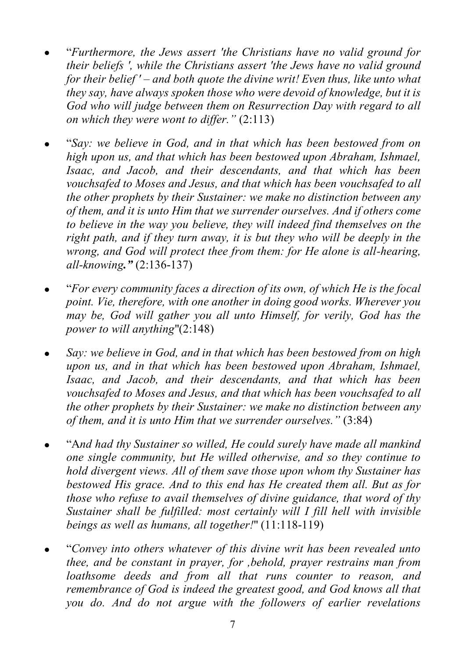- "*Furthermore, the Jews assert 'the Christians have no valid ground for their beliefs ', while the Christians assert 'the Jews have no valid ground for their belief ' – and both quote the divine writ! Even thus, like unto what they say, have always spoken those who were devoid of knowledge, but it is God who will judge between them on Resurrection Day with regard to all on which they were wont to differ."* (2:113)
- "*Say: we believe in God, and in that which has been bestowed from on high upon us, and that which has been bestowed upon Abraham, Ishmael, Isaac, and Jacob, and their descendants, and that which has been vouchsafed to Moses and Jesus, and that which has been vouchsafed to all the other prophets by their Sustainer: we make no distinction between any of them, and it is unto Him that we surrender ourselves. And if others come to believe in the way you believe, they will indeed find themselves on the right path, and if they turn away, it is but they who will be deeply in the wrong, and God will protect thee from them: for He alone is all-hearing, all-knowing."* (2:136-137)
- "*For every community faces a direction of its own, of which He is the focal point. Vie, therefore, with one another in doing good works. Wherever you may be, God will gather you all unto Himself, for verily, God has the power to will anything*"(2:148)
- *Say: we believe in God, and in that which has been bestowed from on high upon us, and in that which has been bestowed upon Abraham, Ishmael, Isaac, and Jacob, and their descendants, and that which has been vouchsafed to Moses and Jesus, and that which has been vouchsafed to all the other prophets by their Sustainer: we make no distinction between any of them, and it is unto Him that we surrender ourselves."* (3:84)
- "A*nd had thy Sustainer so willed, He could surely have made all mankind one single community, but He willed otherwise, and so they continue to hold divergent views. All of them save those upon whom thy Sustainer has bestowed His grace. And to this end has He created them all. But as for those who refuse to avail themselves of divine guidance, that word of thy Sustainer shall be fulfilled: most certainly will I fill hell with invisible beings as well as humans, all together!*" (11:118-119)
- "*Convey into others whatever of this divine writ has been revealed unto thee, and be constant in prayer, for ,behold, prayer restrains man from loathsome deeds and from all that runs counter to reason, and remembrance of God is indeed the greatest good, and God knows all that you do. And do not argue with the followers of earlier revelations*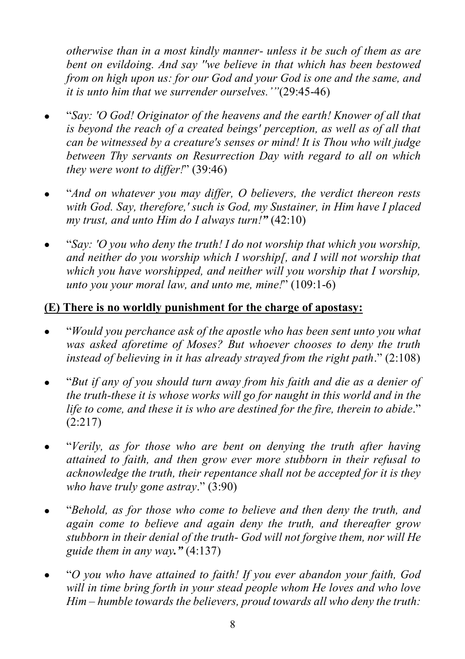*otherwise than in a most kindly manner- unless it be such of them as are bent on evildoing. And say ''we believe in that which has been bestowed from on high upon us: for our God and your God is one and the same, and it is unto him that we surrender ourselves.'"*(29:45-46)

- "*Say: 'O God! Originator of the heavens and the earth! Knower of all that is beyond the reach of a created beings' perception, as well as of all that can be witnessed by a creature's senses or mind! It is Thou who wilt judge between Thy servants on Resurrection Day with regard to all on which they were wont to differ!*" (39:46)
- "*And on whatever you may differ, O believers, the verdict thereon rests with God. Say, therefore,' such is God, my Sustainer, in Him have I placed my trust, and unto Him do I always turn!"* (42:10)
- "*Say: 'O you who deny the truth! I do not worship that which you worship, and neither do you worship which I worship[, and I will not worship that which you have worshipped, and neither will you worship that I worship, unto you your moral law, and unto me, mine!*" (109:1-6)

# **(E) There is no worldly punishment for the charge of apostasy:**

- "*Would you perchance ask of the apostle who has been sent unto you what was asked aforetime of Moses? But whoever chooses to deny the truth instead of believing in it has already strayed from the right path*." (2:108)
- "*But if any of you should turn away from his faith and die as a denier of the truth-these it is whose works will go for naught in this world and in the life to come, and these it is who are destined for the fire, therein to abide*." (2:217)
- "*Verily, as for those who are bent on denying the truth after having attained to faith, and then grow ever more stubborn in their refusal to acknowledge the truth, their repentance shall not be accepted for it is they who have truly gone astray*." (3:90)
- "*Behold, as for those who come to believe and then deny the truth, and again come to believe and again deny the truth, and thereafter grow stubborn in their denial of the truth- God will not forgive them, nor will He guide them in any way."* (4:137)
- "*O you who have attained to faith! If you ever abandon your faith, God will in time bring forth in your stead people whom He loves and who love Him – humble towards the believers, proud towards all who deny the truth:*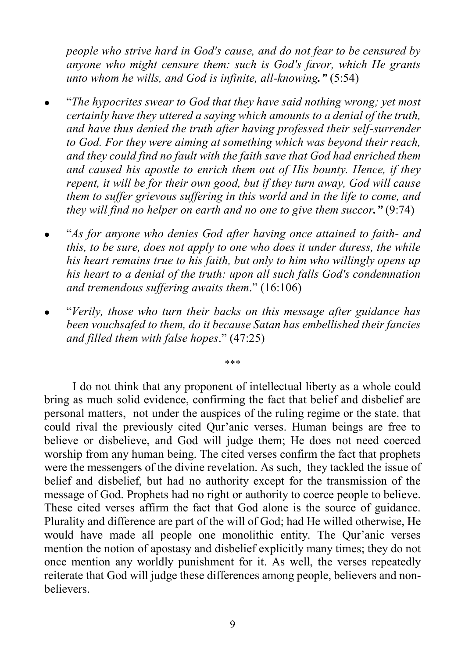*people who strive hard in God's cause, and do not fear to be censured by anyone who might censure them: such is God's favor, which He grants unto whom he wills, and God is infinite, all-knowing."* (5:54)

- "*The hypocrites swear to God that they have said nothing wrong; yet most certainly have they uttered a saying which amounts to a denial of the truth, and have thus denied the truth after having professed their self-surrender to God. For they were aiming at something which was beyond their reach, and they could find no fault with the faith save that God had enriched them and caused his apostle to enrich them out of His bounty. Hence, if they repent, it will be for their own good, but if they turn away, God will cause them to suffer grievous suffering in this world and in the life to come, and they will find no helper on earth and no one to give them succor."* (9:74)
- "*As for anyone who denies God after having once attained to faith- and this, to be sure, does not apply to one who does it under duress, the while his heart remains true to his faith, but only to him who willingly opens up his heart to a denial of the truth: upon all such falls God's condemnation and tremendous suffering awaits them*." (16:106)
- "*Verily, those who turn their backs on this message after guidance has been vouchsafed to them, do it because Satan has embellished their fancies and filled them with false hopes*." (47:25)

\*\*\*

I do not think that any proponent of intellectual liberty as a whole could bring as much solid evidence, confirming the fact that belief and disbelief are personal matters, not under the auspices of the ruling regime or the state. that could rival the previously cited Qur'anic verses. Human beings are free to believe or disbelieve, and God will judge them; He does not need coerced worship from any human being. The cited verses confirm the fact that prophets were the messengers of the divine revelation. As such, they tackled the issue of belief and disbelief, but had no authority except for the transmission of the message of God. Prophets had no right or authority to coerce people to believe. These cited verses affirm the fact that God alone is the source of guidance. Plurality and difference are part of the will of God; had He willed otherwise, He would have made all people one monolithic entity. The Qur'anic verses mention the notion of apostasy and disbelief explicitly many times; they do not once mention any worldly punishment for it. As well, the verses repeatedly reiterate that God will judge these differences among people, believers and non**believers**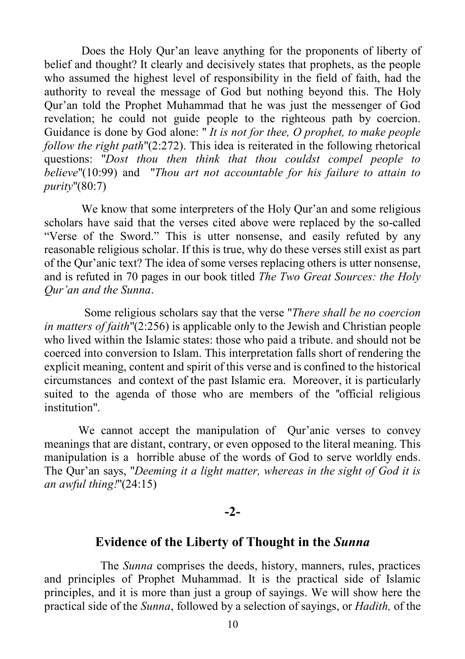Does the Holy Qur'an leave anything for the proponents of liberty of belief and thought? It clearly and decisively states that prophets, as the people who assumed the highest level of responsibility in the field of faith, had the authority to reveal the message of God but nothing beyond this. The Holy Qur'an told the Prophet Muhammad that he was just the messenger of God revelation; he could not guide people to the righteous path by coercion. Guidance is done by God alone: " *It is not for thee, O prophet, to make people follow the right path*"(2:272). This idea is reiterated in the following rhetorical questions: "*Dost thou then think that thou couldst compel people to believe*"(10:99) and "*Thou art not accountable for his failure to attain to purity*"(80:7)

We know that some interpreters of the Holy Our'an and some religious scholars have said that the verses cited above were replaced by the so-called "Verse of the Sword." This is utter nonsense, and easily refuted by any reasonable religious scholar. If this is true, why do these verses still exist as part of the Qur'anic text? The idea of some verses replacing others is utter nonsense, and is refuted in 70 pages in our book titled *The Two Great Sources: the Holy Qur'an and the Sunna*.

 Some religious scholars say that the verse "*There shall be no coercion in matters of faith*"(2:256) is applicable only to the Jewish and Christian people who lived within the Islamic states: those who paid a tribute. and should not be coerced into conversion to Islam. This interpretation falls short of rendering the explicit meaning, content and spirit of this verse and is confined to the historical circumstances and context of the past Islamic era. Moreover, it is particularly suited to the agenda of those who are members of the ''official religious institution".

We cannot accept the manipulation of Qur'anic verses to convey meanings that are distant, contrary, or even opposed to the literal meaning. This manipulation is a horrible abuse of the words of God to serve worldly ends. The Qur'an says, "*Deeming it a light matter, whereas in the sight of God it is an awful thing!*"(24:15)

#### **-2-**

# **Evidence of the Liberty of Thought in the** *Sunna*

The *Sunna* comprises the deeds, history, manners, rules, practices and principles of Prophet Muhammad. It is the practical side of Islamic principles, and it is more than just a group of sayings. We will show here the practical side of the *Sunna*, followed by a selection of sayings, or *Hadith,* of the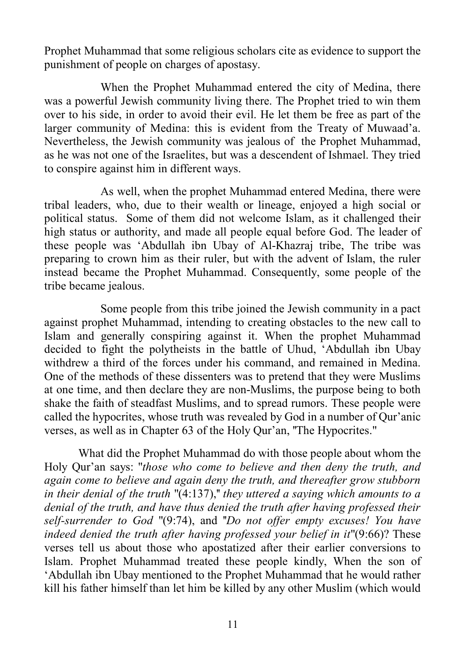Prophet Muhammad that some religious scholars cite as evidence to support the punishment of people on charges of apostasy.

When the Prophet Muhammad entered the city of Medina, there was a powerful Jewish community living there. The Prophet tried to win them over to his side, in order to avoid their evil. He let them be free as part of the larger community of Medina: this is evident from the Treaty of Muwaad'a. Nevertheless, the Jewish community was jealous of the Prophet Muhammad, as he was not one of the Israelites, but was a descendent of Ishmael. They tried to conspire against him in different ways.

As well, when the prophet Muhammad entered Medina, there were tribal leaders, who, due to their wealth or lineage, enjoyed a high social or political status. Some of them did not welcome Islam, as it challenged their high status or authority, and made all people equal before God. The leader of these people was 'Abdullah ibn Ubay of Al-Khazraj tribe, The tribe was preparing to crown him as their ruler, but with the advent of Islam, the ruler instead became the Prophet Muhammad. Consequently, some people of the tribe became jealous.

Some people from this tribe joined the Jewish community in a pact against prophet Muhammad, intending to creating obstacles to the new call to Islam and generally conspiring against it. When the prophet Muhammad decided to fight the polytheists in the battle of Uhud, 'Abdullah ibn Ubay withdrew a third of the forces under his command, and remained in Medina. One of the methods of these dissenters was to pretend that they were Muslims at one time, and then declare they are non-Muslims, the purpose being to both shake the faith of steadfast Muslims, and to spread rumors. These people were called the hypocrites, whose truth was revealed by God in a number of Qur'anic verses, as well as in Chapter 63 of the Holy Qur'an, ''The Hypocrites."

 What did the Prophet Muhammad do with those people about whom the Holy Qur'an says: "*those who come to believe and then deny the truth, and again come to believe and again deny the truth, and thereafter grow stubborn in their denial of the truth* "(4:137),'' *they uttered a saying which amounts to a denial of the truth, and have thus denied the truth after having professed their self-surrender to God* "(9:74), and ''*Do not offer empty excuses! You have indeed denied the truth after having professed your belief in it*"(9:66)? These verses tell us about those who apostatized after their earlier conversions to Islam. Prophet Muhammad treated these people kindly, When the son of 'Abdullah ibn Ubay mentioned to the Prophet Muhammad that he would rather kill his father himself than let him be killed by any other Muslim (which would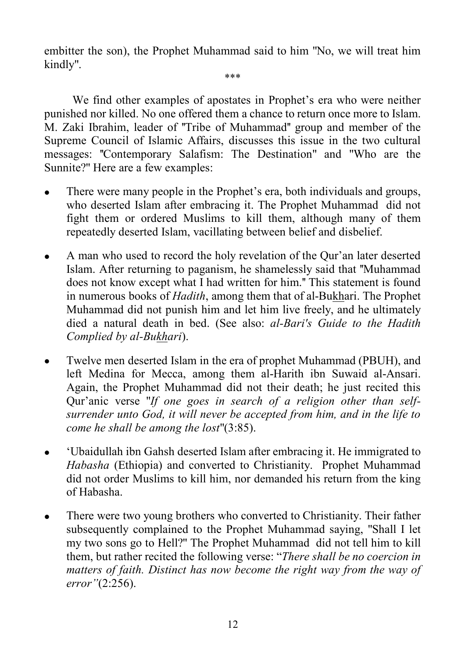embitter the son), the Prophet Muhammad said to him "No, we will treat him kindly".

\*\*\*

We find other examples of apostates in Prophet's era who were neither punished nor killed. No one offered them a chance to return once more to Islam. M. Zaki Ibrahim, leader of ''Tribe of Muhammad'' group and member of the Supreme Council of Islamic Affairs, discusses this issue in the two cultural messages: ''Contemporary Salafism: The Destination" and "Who are the Sunnite?" Here are a few examples:

- There were many people in the Prophet's era, both individuals and groups, who deserted Islam after embracing it. The Prophet Muhammad did not fight them or ordered Muslims to kill them, although many of them repeatedly deserted Islam, vacillating between belief and disbelief.
- A man who used to record the holy revelation of the Qur'an later deserted Islam. After returning to paganism, he shamelessly said that ''Muhammad does not know except what I had written for him.'' This statement is found in numerous books of *Hadith*, among them that of al-Bukhari. The Prophet Muhammad did not punish him and let him live freely, and he ultimately died a natural death in bed. (See also: *al-Bari's Guide to the Hadith Complied by al-Bukhari*).
- Twelve men deserted Islam in the era of prophet Muhammad (PBUH), and left Medina for Mecca, among them al-Harith ibn Suwaid al-Ansari. Again, the Prophet Muhammad did not their death; he just recited this Qur'anic verse "*If one goes in search of a religion other than selfsurrender unto God, it will never be accepted from him, and in the life to come he shall be among the lost*"(3:85).
- 'Ubaidullah ibn Gahsh deserted Islam after embracing it. He immigrated to *Habasha* (Ethiopia) and converted to Christianity. Prophet Muhammad did not order Muslims to kill him, nor demanded his return from the king of Habasha.
- There were two young brothers who converted to Christianity. Their father subsequently complained to the Prophet Muhammad saying, "Shall I let my two sons go to Hell?" The Prophet Muhammad did not tell him to kill them, but rather recited the following verse: "*There shall be no coercion in matters of faith. Distinct has now become the right way from the way of error"*(2:256).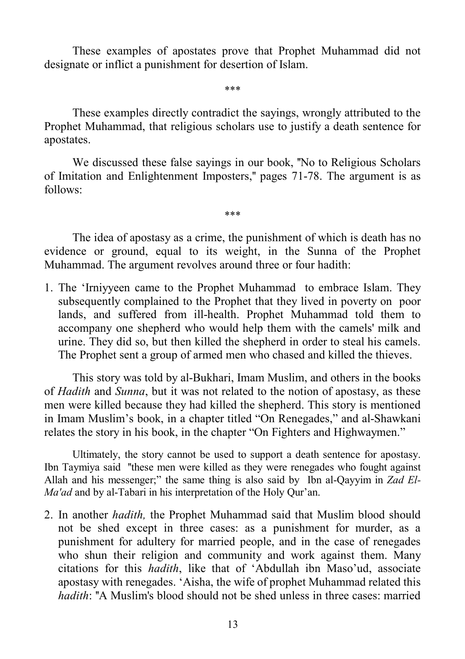These examples of apostates prove that Prophet Muhammad did not designate or inflict a punishment for desertion of Islam.

\*\*\*

These examples directly contradict the sayings, wrongly attributed to the Prophet Muhammad, that religious scholars use to justify a death sentence for apostates.

We discussed these false sayings in our book, "No to Religious Scholars" of Imitation and Enlightenment Imposters,'' pages 71-78. The argument is as follows:

The idea of apostasy as a crime, the punishment of which is death has no evidence or ground, equal to its weight, in the Sunna of the Prophet Muhammad. The argument revolves around three or four hadith:

\*\*\*

1. The 'Irniyyeen came to the Prophet Muhammad to embrace Islam. They subsequently complained to the Prophet that they lived in poverty on poor lands, and suffered from ill-health. Prophet Muhammad told them to accompany one shepherd who would help them with the camels' milk and urine. They did so, but then killed the shepherd in order to steal his camels. The Prophet sent a group of armed men who chased and killed the thieves.

This story was told by al-Bukhari, Imam Muslim, and others in the books of *Hadith* and *Sunna*, but it was not related to the notion of apostasy, as these men were killed because they had killed the shepherd. This story is mentioned in Imam Muslim's book, in a chapter titled "On Renegades," and al-Shawkani relates the story in his book, in the chapter "On Fighters and Highwaymen."

Ultimately, the story cannot be used to support a death sentence for apostasy. Ibn Taymiya said ''these men were killed as they were renegades who fought against Allah and his messenger;" the same thing is also said by Ibn al-Qayyim in *Zad El-Ma'ad* and by al-Tabari in his interpretation of the Holy Qur'an.

2. In another *hadith,* the Prophet Muhammad said that Muslim blood should not be shed except in three cases: as a punishment for murder, as a punishment for adultery for married people, and in the case of renegades who shun their religion and community and work against them. Many citations for this *hadith*, like that of 'Abdullah ibn Maso'ud, associate apostasy with renegades. 'Aisha, the wife of prophet Muhammad related this *hadith*: "A Muslim's blood should not be shed unless in three cases: married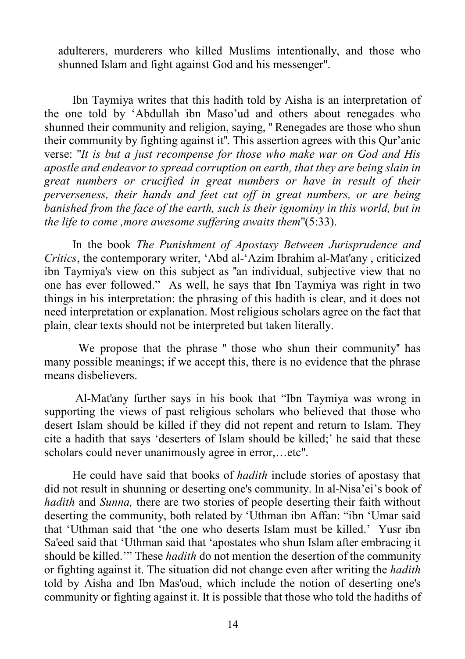adulterers, murderers who killed Muslims intentionally, and those who shunned Islam and fight against God and his messenger".

Ibn Taymiya writes that this hadith told by Aisha is an interpretation of the one told by 'Abdullah ibn Maso'ud and others about renegades who shunned their community and religion, saying, '' Renegades are those who shun their community by fighting against it''. This assertion agrees with this Qur'anic verse: "*It is but a just recompense for those who make war on God and His apostle and endeavor to spread corruption on earth, that they are being slain in great numbers or crucified in great numbers or have in result of their perverseness, their hands and feet cut off in great numbers, or are being banished from the face of the earth, such is their ignominy in this world, but in the life to come ,more awesome suffering awaits them*"(5:33).

In the book *The Punishment of Apostasy Between Jurisprudence and Critics*, the contemporary writer, 'Abd al-'Azim Ibrahim al-Mat'any , criticized ibn Taymiya's view on this subject as ''an individual, subjective view that no one has ever followed." As well, he says that Ibn Taymiya was right in two things in his interpretation: the phrasing of this hadith is clear, and it does not need interpretation or explanation. Most religious scholars agree on the fact that plain, clear texts should not be interpreted but taken literally.

We propose that the phrase " those who shun their community" has many possible meanings; if we accept this, there is no evidence that the phrase means disbelievers.

 Al-Mat'any further says in his book that "Ibn Taymiya was wrong in supporting the views of past religious scholars who believed that those who desert Islam should be killed if they did not repent and return to Islam. They cite a hadith that says 'deserters of Islam should be killed;' he said that these scholars could never unanimously agree in error,…etc".

He could have said that books of *hadith* include stories of apostasy that did not result in shunning or deserting one's community. In al-Nisa'ei's book of *hadith* and *Sunna,* there are two stories of people deserting their faith without deserting the community, both related by 'Uthman ibn Affan: "ibn 'Umar said that 'Uthman said that 'the one who deserts Islam must be killed.' Yusr ibn Sa'eed said that 'Uthman said that 'apostates who shun Islam after embracing it should be killed.'" These *hadith* do not mention the desertion of the community or fighting against it. The situation did not change even after writing the *hadith* told by Aisha and Ibn Mas'oud, which include the notion of deserting one's community or fighting against it. It is possible that those who told the hadiths of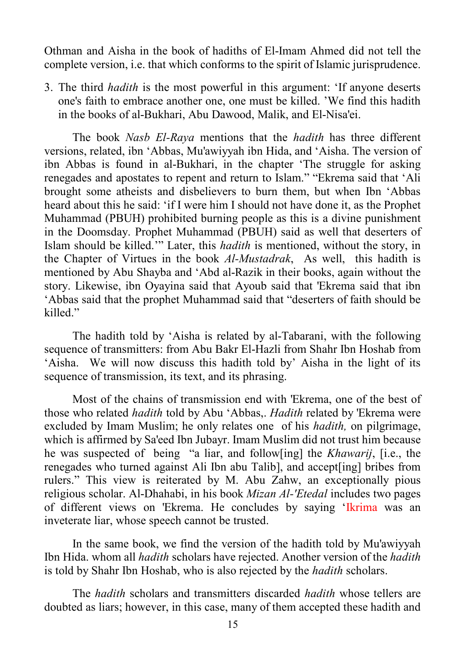Othman and Aisha in the book of hadiths of El-Imam Ahmed did not tell the complete version, i.e. that which conforms to the spirit of Islamic jurisprudence.

3. The third *hadith* is the most powerful in this argument: 'If anyone deserts one's faith to embrace another one, one must be killed. 'We find this hadith in the books of al-Bukhari, Abu Dawood, Malik, and El-Nisa'ei.

The book *Nasb El-Raya* mentions that the *hadith* has three different versions, related, ibn 'Abbas, Mu'awiyyah ibn Hida, and 'Aisha. The version of ibn Abbas is found in al-Bukhari, in the chapter 'The struggle for asking renegades and apostates to repent and return to Islam." "Ekrema said that 'Ali brought some atheists and disbelievers to burn them, but when Ibn 'Abbas heard about this he said: 'if I were him I should not have done it, as the Prophet Muhammad (PBUH) prohibited burning people as this is a divine punishment in the Doomsday. Prophet Muhammad (PBUH) said as well that deserters of Islam should be killed.'" Later, this *hadith* is mentioned, without the story, in the Chapter of Virtues in the book *Al-Mustadrak*, As well, this hadith is mentioned by Abu Shayba and 'Abd al-Razik in their books, again without the story. Likewise, ibn Oyayina said that Ayoub said that 'Ekrema said that ibn 'Abbas said that the prophet Muhammad said that "deserters of faith should be killed."

The hadith told by 'Aisha is related by al-Tabarani, with the following sequence of transmitters: from Abu Bakr El-Hazli from Shahr Ibn Hoshab from 'Aisha. We will now discuss this hadith told by' Aisha in the light of its sequence of transmission, its text, and its phrasing.

Most of the chains of transmission end with 'Ekrema, one of the best of those who related *hadith* told by Abu 'Abbas,. *Hadith* related by 'Ekrema were excluded by Imam Muslim; he only relates one of his *hadith,* on pilgrimage, which is affirmed by Sa'eed Ibn Jubayr. Imam Muslim did not trust him because he was suspected of being "a liar, and follow[ing] the *Khawarij*, [i.e., the renegades who turned against Ali Ibn abu Talib], and accept[ing] bribes from rulers." This view is reiterated by M. Abu Zahw, an exceptionally pious religious scholar. Al-Dhahabi, in his book *Mizan Al-'Etedal* includes two pages of different views on 'Ekrema. He concludes by saying 'Ikrima was an inveterate liar, whose speech cannot be trusted.

In the same book, we find the version of the hadith told by Mu'awiyyah Ibn Hida. whom all *hadith* scholars have rejected. Another version of the *hadith* is told by Shahr Ibn Hoshab, who is also rejected by the *hadith* scholars.

The *hadith* scholars and transmitters discarded *hadith* whose tellers are doubted as liars; however, in this case, many of them accepted these hadith and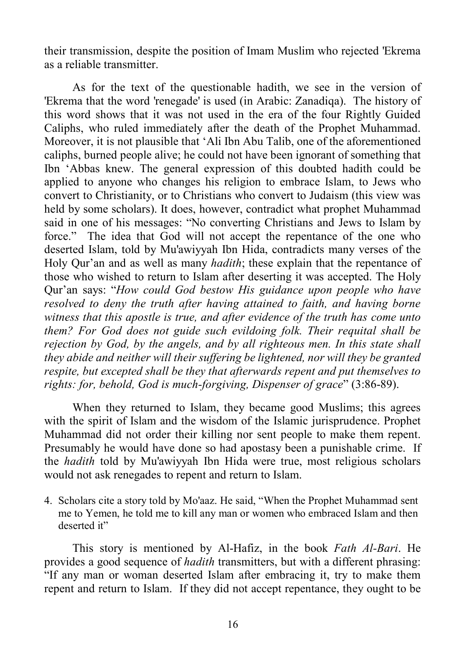their transmission, despite the position of Imam Muslim who rejected 'Ekrema as a reliable transmitter.

As for the text of the questionable hadith, we see in the version of 'Ekrema that the word 'renegade' is used (in Arabic: Zanadiqa). The history of this word shows that it was not used in the era of the four Rightly Guided Caliphs, who ruled immediately after the death of the Prophet Muhammad. Moreover, it is not plausible that 'Ali Ibn Abu Talib, one of the aforementioned caliphs, burned people alive; he could not have been ignorant of something that Ibn 'Abbas knew. The general expression of this doubted hadith could be applied to anyone who changes his religion to embrace Islam, to Jews who convert to Christianity, or to Christians who convert to Judaism (this view was held by some scholars). It does, however, contradict what prophet Muhammad said in one of his messages: "No converting Christians and Jews to Islam by force." The idea that God will not accept the repentance of the one who deserted Islam, told by Mu'awiyyah Ibn Hida, contradicts many verses of the Holy Qur'an and as well as many *hadith*; these explain that the repentance of those who wished to return to Islam after deserting it was accepted. The Holy Qur'an says: "*How could God bestow His guidance upon people who have resolved to deny the truth after having attained to faith, and having borne witness that this apostle is true, and after evidence of the truth has come unto them? For God does not guide such evildoing folk. Their requital shall be rejection by God, by the angels, and by all righteous men. In this state shall they abide and neither will their suffering be lightened, nor will they be granted respite, but excepted shall be they that afterwards repent and put themselves to rights: for, behold, God is much-forgiving, Dispenser of grace*" (3:86-89).

When they returned to Islam, they became good Muslims; this agrees with the spirit of Islam and the wisdom of the Islamic jurisprudence. Prophet Muhammad did not order their killing nor sent people to make them repent. Presumably he would have done so had apostasy been a punishable crime. If the *hadith* told by Mu'awiyyah Ibn Hida were true, most religious scholars would not ask renegades to repent and return to Islam.

4. Scholars cite a story told by Mo'aaz. He said, "When the Prophet Muhammad sent me to Yemen, he told me to kill any man or women who embraced Islam and then deserted it"

This story is mentioned by Al-Hafiz, in the book *Fath Al-Bari*. He provides a good sequence of *hadith* transmitters, but with a different phrasing: "If any man or woman deserted Islam after embracing it, try to make them repent and return to Islam. If they did not accept repentance, they ought to be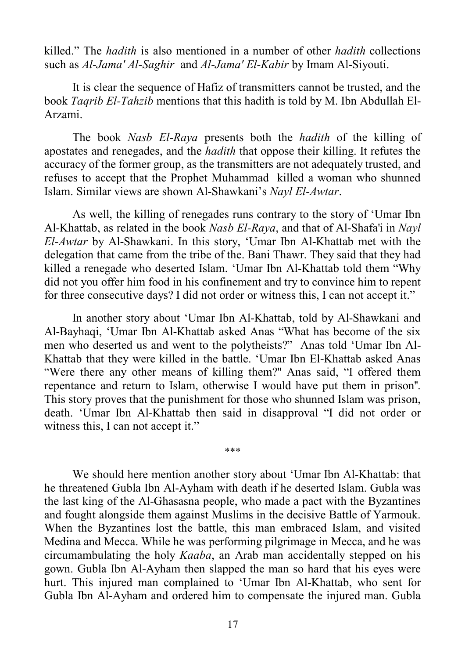killed." The *hadith* is also mentioned in a number of other *hadith* collections such as *Al-Jama' Al-Saghir* and *Al-Jama' El-Kabir* by Imam Al-Siyouti.

It is clear the sequence of Hafiz of transmitters cannot be trusted, and the book *Taqrib El-Tahzib* mentions that this hadith is told by M. Ibn Abdullah El-Arzami.

The book *Nasb El-Raya* presents both the *hadith* of the killing of apostates and renegades, and the *hadith* that oppose their killing. It refutes the accuracy of the former group, as the transmitters are not adequately trusted, and refuses to accept that the Prophet Muhammad killed a woman who shunned Islam. Similar views are shown Al-Shawkani's *Nayl El-Awtar*.

As well, the killing of renegades runs contrary to the story of 'Umar Ibn Al-Khattab, as related in the book *Nasb El-Raya*, and that of Al-Shafa'i in *Nayl El-Awtar* by Al-Shawkani. In this story, 'Umar Ibn Al-Khattab met with the delegation that came from the tribe of the. Bani Thawr. They said that they had killed a renegade who deserted Islam. 'Umar Ibn Al-Khattab told them "Why did not you offer him food in his confinement and try to convince him to repent for three consecutive days? I did not order or witness this, I can not accept it."

In another story about 'Umar Ibn Al-Khattab, told by Al-Shawkani and Al-Bayhaqi, 'Umar Ibn Al-Khattab asked Anas "What has become of the six men who deserted us and went to the polytheists?" Anas told 'Umar Ibn Al-Khattab that they were killed in the battle. 'Umar Ibn El-Khattab asked Anas "Were there any other means of killing them?" Anas said, "I offered them repentance and return to Islam, otherwise I would have put them in prison''. This story proves that the punishment for those who shunned Islam was prison, death. 'Umar Ibn Al-Khattab then said in disapproval "I did not order or witness this, I can not accept it."

\*\*\*

We should here mention another story about 'Umar Ibn Al-Khattab: that he threatened Gubla Ibn Al-Ayham with death if he deserted Islam. Gubla was the last king of the Al-Ghasasna people, who made a pact with the Byzantines and fought alongside them against Muslims in the decisive Battle of Yarmouk. When the Byzantines lost the battle, this man embraced Islam, and visited Medina and Mecca. While he was performing pilgrimage in Mecca, and he was circumambulating the holy *Kaaba*, an Arab man accidentally stepped on his gown. Gubla Ibn Al-Ayham then slapped the man so hard that his eyes were hurt. This injured man complained to 'Umar Ibn Al-Khattab, who sent for Gubla Ibn Al-Ayham and ordered him to compensate the injured man. Gubla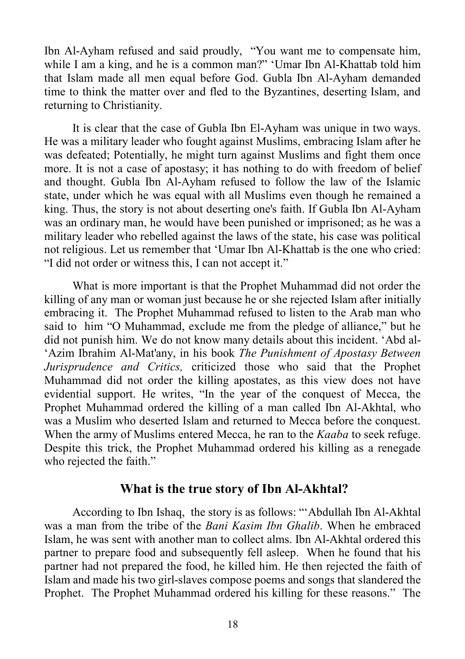Ibn Al-Ayham refused and said proudly, "You want me to compensate him, while I am a king, and he is a common man?" 'Umar Ibn Al-Khattab told him that Islam made all men equal before God. Gubla Ibn Al-Ayham demanded time to think the matter over and fled to the Byzantines, deserting Islam, and returning to Christianity.

It is clear that the case of Gubla Ibn El-Ayham was unique in two ways. He was a military leader who fought against Muslims, embracing Islam after he was defeated; Potentially, he might turn against Muslims and fight them once more. It is not a case of apostasy; it has nothing to do with freedom of belief and thought. Gubla Ibn Al-Ayham refused to follow the law of the Islamic state, under which he was equal with all Muslims even though he remained a king. Thus, the story is not about deserting one's faith. If Gubla Ibn Al-Ayham was an ordinary man, he would have been punished or imprisoned; as he was a military leader who rebelled against the laws of the state, his case was political not religious. Let us remember that 'Umar Ibn Al-Khattab is the one who cried: "I did not order or witness this, I can not accept it."

What is more important is that the Prophet Muhammad did not order the killing of any man or woman just because he or she rejected Islam after initially embracing it. The Prophet Muhammad refused to listen to the Arab man who said to him "O Muhammad, exclude me from the pledge of alliance," but he did not punish him. We do not know many details about this incident. 'Abd al- 'Azim Ibrahim Al-Mat'any, in his book *The Punishment of Apostasy Between Jurisprudence and Critics,* criticized those who said that the Prophet Muhammad did not order the killing apostates, as this view does not have evidential support. He writes, "In the year of the conquest of Mecca, the Prophet Muhammad ordered the killing of a man called Ibn Al-Akhtal, who was a Muslim who deserted Islam and returned to Mecca before the conquest. When the army of Muslims entered Mecca, he ran to the *Kaaba* to seek refuge. Despite this trick, the Prophet Muhammad ordered his killing as a renegade who rejected the faith."

# **What is the true story of Ibn Al-Akhtal?**

According to Ibn Ishaq, the story is as follows: "'Abdullah Ibn Al-Akhtal was a man from the tribe of the *Bani Kasim Ibn Ghalib*. When he embraced Islam, he was sent with another man to collect alms. Ibn Al-Akhtal ordered this partner to prepare food and subsequently fell asleep. When he found that his partner had not prepared the food, he killed him. He then rejected the faith of Islam and made his two girl-slaves compose poems and songs that slandered the Prophet. The Prophet Muhammad ordered his killing for these reasons." The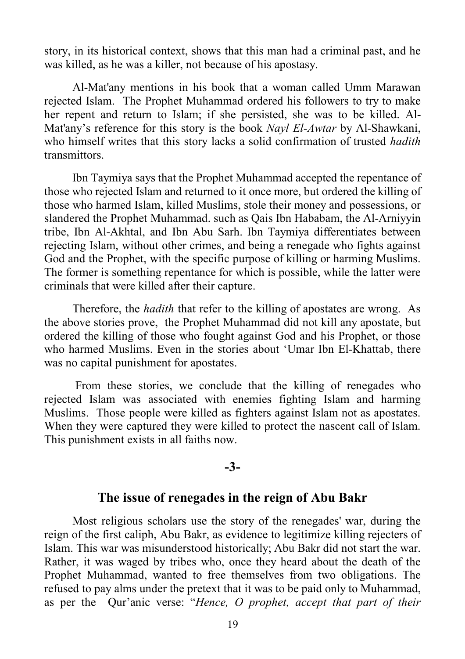story, in its historical context, shows that this man had a criminal past, and he was killed, as he was a killer, not because of his apostasy.

Al-Mat'any mentions in his book that a woman called Umm Marawan rejected Islam. The Prophet Muhammad ordered his followers to try to make her repent and return to Islam; if she persisted, she was to be killed. Al-Mat'any's reference for this story is the book *Nayl El-Awtar* by Al-Shawkani, who himself writes that this story lacks a solid confirmation of trusted *hadith*  transmittors.

Ibn Taymiya says that the Prophet Muhammad accepted the repentance of those who rejected Islam and returned to it once more, but ordered the killing of those who harmed Islam, killed Muslims, stole their money and possessions, or slandered the Prophet Muhammad. such as Qais Ibn Hababam, the Al-Arniyyin tribe, Ibn Al-Akhtal, and Ibn Abu Sarh. Ibn Taymiya differentiates between rejecting Islam, without other crimes, and being a renegade who fights against God and the Prophet, with the specific purpose of killing or harming Muslims. The former is something repentance for which is possible, while the latter were criminals that were killed after their capture.

Therefore, the *hadith* that refer to the killing of apostates are wrong. As the above stories prove, the Prophet Muhammad did not kill any apostate, but ordered the killing of those who fought against God and his Prophet, or those who harmed Muslims. Even in the stories about 'Umar Ibn El-Khattab, there was no capital punishment for apostates.

 From these stories, we conclude that the killing of renegades who rejected Islam was associated with enemies fighting Islam and harming Muslims. Those people were killed as fighters against Islam not as apostates. When they were captured they were killed to protect the nascent call of Islam. This punishment exists in all faiths now.

#### **-3-**

#### **The issue of renegades in the reign of Abu Bakr**

Most religious scholars use the story of the renegades' war, during the reign of the first caliph, Abu Bakr, as evidence to legitimize killing rejecters of Islam. This war was misunderstood historically; Abu Bakr did not start the war. Rather, it was waged by tribes who, once they heard about the death of the Prophet Muhammad, wanted to free themselves from two obligations. The refused to pay alms under the pretext that it was to be paid only to Muhammad, as per the Qur'anic verse: "*Hence, O prophet, accept that part of their*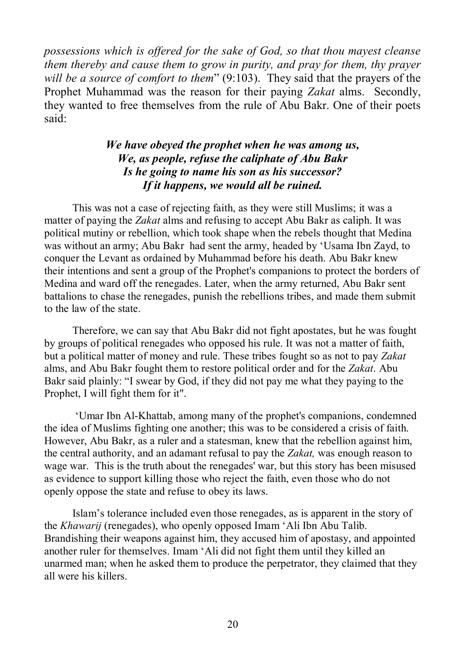*possessions which is offered for the sake of God, so that thou mayest cleanse them thereby and cause them to grow in purity, and pray for them, thy prayer will be a source of comfort to them*" (9:103). They said that the prayers of the Prophet Muhammad was the reason for their paying *Zakat* alms. Secondly, they wanted to free themselves from the rule of Abu Bakr. One of their poets said:

#### *We have obeyed the prophet when he was among us, We, as people, refuse the caliphate of Abu Bakr Is he going to name his son as his successor? If it happens, we would all be ruined.*

This was not a case of rejecting faith, as they were still Muslims; it was a matter of paying the *Zakat* alms and refusing to accept Abu Bakr as caliph. It was political mutiny or rebellion, which took shape when the rebels thought that Medina was without an army; Abu Bakr had sent the army, headed by 'Usama Ibn Zayd, to conquer the Levant as ordained by Muhammad before his death. Abu Bakr knew their intentions and sent a group of the Prophet's companions to protect the borders of Medina and ward off the renegades. Later, when the army returned, Abu Bakr sent battalions to chase the renegades, punish the rebellions tribes, and made them submit to the law of the state.

Therefore, we can say that Abu Bakr did not fight apostates, but he was fought by groups of political renegades who opposed his rule. It was not a matter of faith, but a political matter of money and rule. These tribes fought so as not to pay *Zakat* alms, and Abu Bakr fought them to restore political order and for the *Zakat*. Abu Bakr said plainly: "I swear by God, if they did not pay me what they paying to the Prophet, I will fight them for it".

'Umar Ibn Al-Khattab, among many of the prophet's companions, condemned the idea of Muslims fighting one another; this was to be considered a crisis of faith. However, Abu Bakr, as a ruler and a statesman, knew that the rebellion against him, the central authority, and an adamant refusal to pay the *Zakat,* was enough reason to wage war. This is the truth about the renegades' war, but this story has been misused as evidence to support killing those who reject the faith, even those who do not openly oppose the state and refuse to obey its laws.

Islam's tolerance included even those renegades, as is apparent in the story of the *Khawarij* (renegades), who openly opposed Imam 'Ali Ibn Abu Talib. Brandishing their weapons against him, they accused him of apostasy, and appointed another ruler for themselves. Imam 'Ali did not fight them until they killed an unarmed man; when he asked them to produce the perpetrator, they claimed that they all were his killers.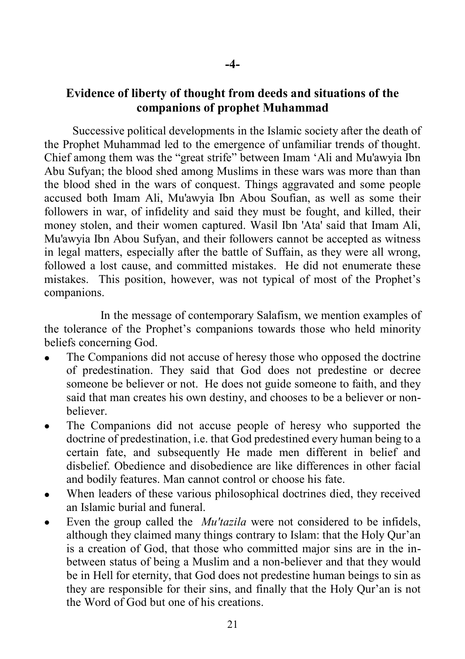# **Evidence of liberty of thought from deeds and situations of the companions of prophet Muhammad**

Successive political developments in the Islamic society after the death of the Prophet Muhammad led to the emergence of unfamiliar trends of thought. Chief among them was the "great strife" between Imam 'Ali and Mu'awyia Ibn Abu Sufyan; the blood shed among Muslims in these wars was more than than the blood shed in the wars of conquest. Things aggravated and some people accused both Imam Ali, Mu'awyia Ibn Abou Soufian, as well as some their followers in war, of infidelity and said they must be fought, and killed, their money stolen, and their women captured. Wasil Ibn 'Ata' said that Imam Ali, Mu'awyia Ibn Abou Sufyan, and their followers cannot be accepted as witness in legal matters, especially after the battle of Suffain, as they were all wrong, followed a lost cause, and committed mistakes. He did not enumerate these mistakes. This position, however, was not typical of most of the Prophet's companions.

 In the message of contemporary Salafism, we mention examples of the tolerance of the Prophet's companions towards those who held minority beliefs concerning God.

- The Companions did not accuse of heresy those who opposed the doctrine of predestination. They said that God does not predestine or decree someone be believer or not. He does not guide someone to faith, and they said that man creates his own destiny, and chooses to be a believer or nonbeliever.
- The Companions did not accuse people of heresy who supported the doctrine of predestination, i.e. that God predestined every human being to a certain fate, and subsequently He made men different in belief and disbelief. Obedience and disobedience are like differences in other facial and bodily features. Man cannot control or choose his fate.
- When leaders of these various philosophical doctrines died, they received an Islamic burial and funeral.
- Even the group called the *Mu'tazila* were not considered to be infidels, although they claimed many things contrary to Islam: that the Holy Qur'an is a creation of God, that those who committed major sins are in the inbetween status of being a Muslim and a non-believer and that they would be in Hell for eternity, that God does not predestine human beings to sin as they are responsible for their sins, and finally that the Holy Qur'an is not the Word of God but one of his creations.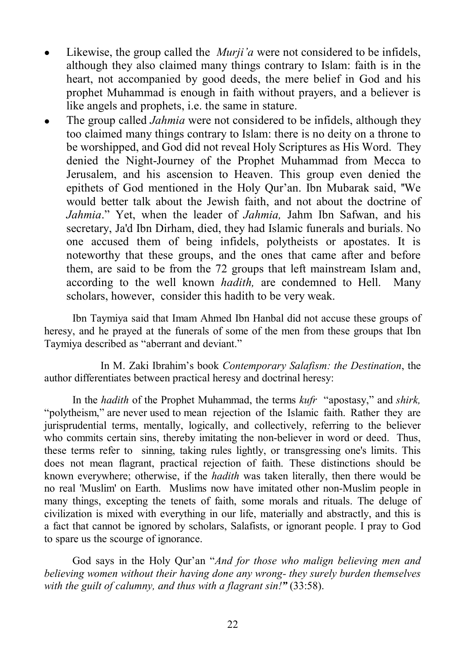- Likewise, the group called the *Murji'a* were not considered to be infidels, although they also claimed many things contrary to Islam: faith is in the heart, not accompanied by good deeds, the mere belief in God and his prophet Muhammad is enough in faith without prayers, and a believer is like angels and prophets, i.e. the same in stature.
- The group called *Jahmia* were not considered to be infidels, although they too claimed many things contrary to Islam: there is no deity on a throne to be worshipped, and God did not reveal Holy Scriptures as His Word. They denied the Night-Journey of the Prophet Muhammad from Mecca to Jerusalem, and his ascension to Heaven. This group even denied the epithets of God mentioned in the Holy Qur'an. Ibn Mubarak said, ''We would better talk about the Jewish faith, and not about the doctrine of *Jahmia*." Yet, when the leader of *Jahmia,* Jahm Ibn Safwan, and his secretary, Ja'd Ibn Dirham, died, they had Islamic funerals and burials. No one accused them of being infidels, polytheists or apostates. It is noteworthy that these groups, and the ones that came after and before them, are said to be from the 72 groups that left mainstream Islam and, according to the well known *hadith,* are condemned to Hell. Many scholars, however, consider this hadith to be very weak.

Ibn Taymiya said that Imam Ahmed Ibn Hanbal did not accuse these groups of heresy, and he prayed at the funerals of some of the men from these groups that Ibn Taymiya described as "aberrant and deviant."

 In M. Zaki Ibrahim's book *Contemporary Salafism: the Destination*, the author differentiates between practical heresy and doctrinal heresy:

In the *hadith* of the Prophet Muhammad, the terms *kufr* "apostasy," and *shirk,* "polytheism," are never used to mean rejection of the Islamic faith. Rather they are jurisprudential terms, mentally, logically, and collectively, referring to the believer who commits certain sins, thereby imitating the non-believer in word or deed. Thus, these terms refer to sinning, taking rules lightly, or transgressing one's limits. This does not mean flagrant, practical rejection of faith. These distinctions should be known everywhere; otherwise, if the *hadith* was taken literally, then there would be no real 'Muslim' on Earth. Muslims now have imitated other non-Muslim people in many things, excepting the tenets of faith, some morals and rituals. The deluge of civilization is mixed with everything in our life, materially and abstractly, and this is a fact that cannot be ignored by scholars, Salafists, or ignorant people. I pray to God to spare us the scourge of ignorance.

God says in the Holy Qur'an "*And for those who malign believing men and believing women without their having done any wrong- they surely burden themselves with the guilt of calumny, and thus with a flagrant sin!"* (33:58).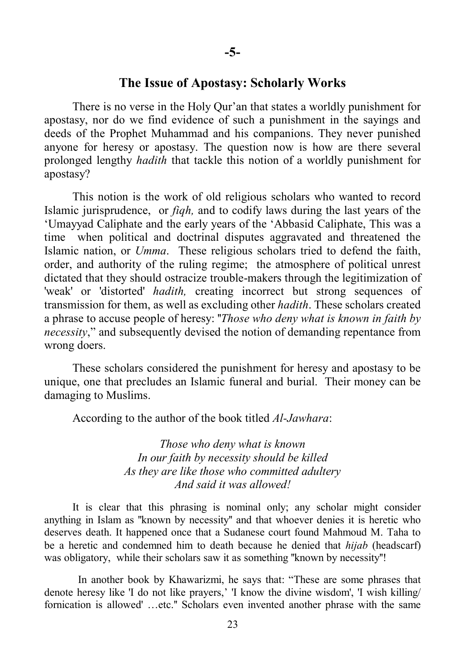#### **The Issue of Apostasy: Scholarly Works**

There is no verse in the Holy Qur'an that states a worldly punishment for apostasy, nor do we find evidence of such a punishment in the sayings and deeds of the Prophet Muhammad and his companions. They never punished anyone for heresy or apostasy. The question now is how are there several prolonged lengthy *hadith* that tackle this notion of a worldly punishment for apostasy?

This notion is the work of old religious scholars who wanted to record Islamic jurisprudence, or *fiqh,* and to codify laws during the last years of the 'Umayyad Caliphate and the early years of the 'Abbasid Caliphate, This was a time when political and doctrinal disputes aggravated and threatened the Islamic nation, or *Umma*. These religious scholars tried to defend the faith, order, and authority of the ruling regime; the atmosphere of political unrest dictated that they should ostracize trouble-makers through the legitimization of 'weak' or 'distorted' *hadith,* creating incorrect but strong sequences of transmission for them, as well as excluding other *hadith*. These scholars created a phrase to accuse people of heresy: ''*Those who deny what is known in faith by necessity*," and subsequently devised the notion of demanding repentance from wrong doers.

These scholars considered the punishment for heresy and apostasy to be unique, one that precludes an Islamic funeral and burial. Their money can be damaging to Muslims.

According to the author of the book titled *Al-Jawhara*:

*Those who deny what is known In our faith by necessity should be killed As they are like those who committed adultery And said it was allowed!*

It is clear that this phrasing is nominal only; any scholar might consider anything in Islam as ''known by necessity'' and that whoever denies it is heretic who deserves death. It happened once that a Sudanese court found Mahmoud M. Taha to be a heretic and condemned him to death because he denied that *hijab* (headscarf) was obligatory, while their scholars saw it as something "known by necessity"!

 In another book by Khawarizmi, he says that: "These are some phrases that denote heresy like 'I do not like prayers,' 'I know the divine wisdom', 'I wish killing/ fornication is allowed' …etc.'' Scholars even invented another phrase with the same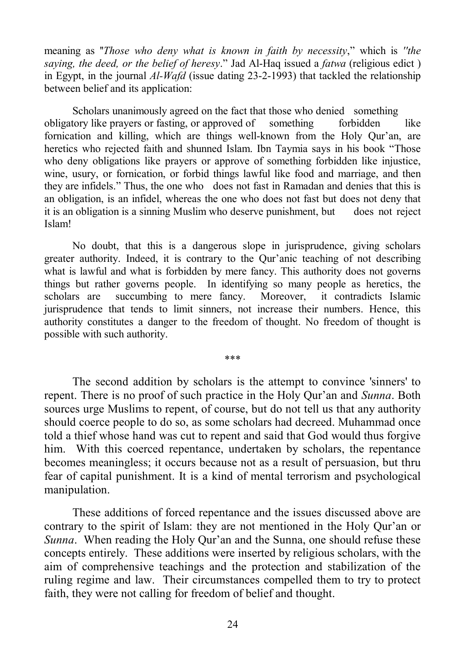meaning as ''*Those who deny what is known in faith by necessity*," which is *''the saying, the deed, or the belief of heresy*." Jad Al-Haq issued a *fatwa* (religious edict ) in Egypt, in the journal *Al-Wafd* (issue dating 23-2-1993) that tackled the relationship between belief and its application:

Scholars unanimously agreed on the fact that those who denied something obligatory like prayers or fasting, or approved of something forbidden like fornication and killing, which are things well-known from the Holy Qur'an, are heretics who rejected faith and shunned Islam. Ibn Taymia says in his book "Those who deny obligations like prayers or approve of something forbidden like injustice, wine, usury, or fornication, or forbid things lawful like food and marriage, and then they are infidels." Thus, the one who does not fast in Ramadan and denies that this is an obligation, is an infidel, whereas the one who does not fast but does not deny that it is an obligation is a sinning Muslim who deserve punishment, but does not reject Islam!

No doubt, that this is a dangerous slope in jurisprudence, giving scholars greater authority. Indeed, it is contrary to the Qur'anic teaching of not describing what is lawful and what is forbidden by mere fancy. This authority does not governs things but rather governs people. In identifying so many people as heretics, the scholars are succumbing to mere fancy. Moreover, it contradicts Islamic jurisprudence that tends to limit sinners, not increase their numbers. Hence, this authority constitutes a danger to the freedom of thought. No freedom of thought is possible with such authority.

\*\*\*

The second addition by scholars is the attempt to convince 'sinners' to repent. There is no proof of such practice in the Holy Qur'an and *Sunna*. Both sources urge Muslims to repent, of course, but do not tell us that any authority should coerce people to do so, as some scholars had decreed. Muhammad once told a thief whose hand was cut to repent and said that God would thus forgive him. With this coerced repentance, undertaken by scholars, the repentance becomes meaningless; it occurs because not as a result of persuasion, but thru fear of capital punishment. It is a kind of mental terrorism and psychological manipulation.

These additions of forced repentance and the issues discussed above are contrary to the spirit of Islam: they are not mentioned in the Holy Qur'an or *Sunna*. When reading the Holy Qur'an and the Sunna, one should refuse these concepts entirely. These additions were inserted by religious scholars, with the aim of comprehensive teachings and the protection and stabilization of the ruling regime and law. Their circumstances compelled them to try to protect faith, they were not calling for freedom of belief and thought.